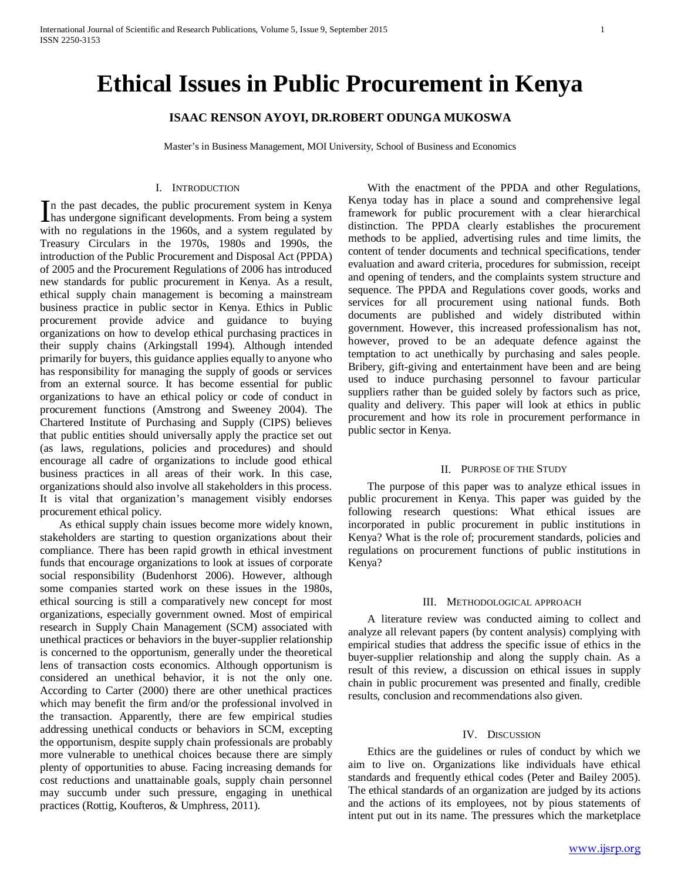# **Ethical Issues in Public Procurement in Kenya**

# **ISAAC RENSON AYOYI, DR.ROBERT ODUNGA MUKOSWA**

Master's in Business Management, MOI University, School of Business and Economics

# I. INTRODUCTION

n the past decades, the public procurement system in Kenya In the past decades, the public procurement system in Kenya<br>has undergone significant developments. From being a system with no regulations in the 1960s, and a system regulated by Treasury Circulars in the 1970s, 1980s and 1990s, the introduction of the Public Procurement and Disposal Act (PPDA) of 2005 and the Procurement Regulations of 2006 has introduced new standards for public procurement in Kenya. As a result, ethical supply chain management is becoming a mainstream business practice in public sector in Kenya. Ethics in Public procurement provide advice and guidance to buying organizations on how to develop ethical purchasing practices in their supply chains (Arkingstall 1994). Although intended primarily for buyers, this guidance applies equally to anyone who has responsibility for managing the supply of goods or services from an external source. It has become essential for public organizations to have an ethical policy or code of conduct in procurement functions (Amstrong and Sweeney 2004). The Chartered Institute of Purchasing and Supply (CIPS) believes that public entities should universally apply the practice set out (as laws, regulations, policies and procedures) and should encourage all cadre of organizations to include good ethical business practices in all areas of their work. In this case, organizations should also involve all stakeholders in this process. It is vital that organization's management visibly endorses procurement ethical policy.

 As ethical supply chain issues become more widely known, stakeholders are starting to question organizations about their compliance. There has been rapid growth in ethical investment funds that encourage organizations to look at issues of corporate social responsibility (Budenhorst 2006). However, although some companies started work on these issues in the 1980s, ethical sourcing is still a comparatively new concept for most organizations, especially government owned. Most of empirical research in Supply Chain Management (SCM) associated with unethical practices or behaviors in the buyer-supplier relationship is concerned to the opportunism, generally under the theoretical lens of transaction costs economics. Although opportunism is considered an unethical behavior, it is not the only one. According to Carter (2000) there are other unethical practices which may benefit the firm and/or the professional involved in the transaction. Apparently, there are few empirical studies addressing unethical conducts or behaviors in SCM, excepting the opportunism, despite supply chain professionals are probably more vulnerable to unethical choices because there are simply plenty of opportunities to abuse. Facing increasing demands for cost reductions and unattainable goals, supply chain personnel may succumb under such pressure, engaging in unethical practices (Rottig, Koufteros, & Umphress, 2011).

 With the enactment of the PPDA and other Regulations, Kenya today has in place a sound and comprehensive legal framework for public procurement with a clear hierarchical distinction. The PPDA clearly establishes the procurement methods to be applied, advertising rules and time limits, the content of tender documents and technical specifications, tender evaluation and award criteria, procedures for submission, receipt and opening of tenders, and the complaints system structure and sequence. The PPDA and Regulations cover goods, works and services for all procurement using national funds. Both documents are published and widely distributed within government. However, this increased professionalism has not, however, proved to be an adequate defence against the temptation to act unethically by purchasing and sales people. Bribery, gift-giving and entertainment have been and are being used to induce purchasing personnel to favour particular suppliers rather than be guided solely by factors such as price, quality and delivery. This paper will look at ethics in public procurement and how its role in procurement performance in public sector in Kenya.

### II. PURPOSE OF THE STUDY

 The purpose of this paper was to analyze ethical issues in public procurement in Kenya. This paper was guided by the following research questions: What ethical issues are incorporated in public procurement in public institutions in Kenya? What is the role of; procurement standards, policies and regulations on procurement functions of public institutions in Kenya?

## III. METHODOLOGICAL APPROACH

 A literature review was conducted aiming to collect and analyze all relevant papers (by content analysis) complying with empirical studies that address the specific issue of ethics in the buyer-supplier relationship and along the supply chain. As a result of this review, a discussion on ethical issues in supply chain in public procurement was presented and finally, credible results, conclusion and recommendations also given.

#### IV. DISCUSSION

 Ethics are the guidelines or rules of conduct by which we aim to live on. Organizations like individuals have ethical standards and frequently ethical codes (Peter and Bailey 2005). The ethical standards of an organization are judged by its actions and the actions of its employees, not by pious statements of intent put out in its name. The pressures which the marketplace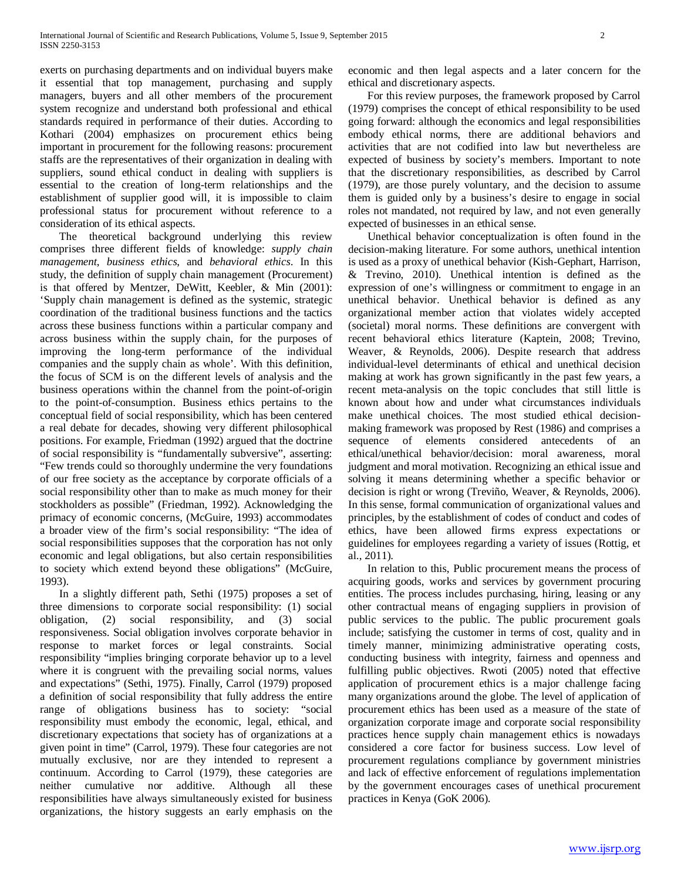exerts on purchasing departments and on individual buyers make it essential that top management, purchasing and supply managers, buyers and all other members of the procurement system recognize and understand both professional and ethical standards required in performance of their duties. According to Kothari (2004) emphasizes on procurement ethics being important in procurement for the following reasons: procurement staffs are the representatives of their organization in dealing with suppliers, sound ethical conduct in dealing with suppliers is essential to the creation of long-term relationships and the establishment of supplier good will, it is impossible to claim professional status for procurement without reference to a consideration of its ethical aspects.

 The theoretical background underlying this review comprises three different fields of knowledge: *supply chain management*, *business ethics*, and *behavioral ethics*. In this study, the definition of supply chain management (Procurement) is that offered by Mentzer, DeWitt, Keebler, & Min (2001): 'Supply chain management is defined as the systemic, strategic coordination of the traditional business functions and the tactics across these business functions within a particular company and across business within the supply chain, for the purposes of improving the long-term performance of the individual companies and the supply chain as whole'. With this definition, the focus of SCM is on the different levels of analysis and the business operations within the channel from the point-of-origin to the point-of-consumption. Business ethics pertains to the conceptual field of social responsibility, which has been centered a real debate for decades, showing very different philosophical positions. For example, Friedman (1992) argued that the doctrine of social responsibility is "fundamentally subversive", asserting: "Few trends could so thoroughly undermine the very foundations of our free society as the acceptance by corporate officials of a social responsibility other than to make as much money for their stockholders as possible" (Friedman, 1992). Acknowledging the primacy of economic concerns, (McGuire, 1993) accommodates a broader view of the firm's social responsibility: "The idea of social responsibilities supposes that the corporation has not only economic and legal obligations, but also certain responsibilities to society which extend beyond these obligations" (McGuire, 1993).

 In a slightly different path, Sethi (1975) proposes a set of three dimensions to corporate social responsibility: (1) social obligation, (2) social responsibility, and (3) social responsiveness. Social obligation involves corporate behavior in response to market forces or legal constraints. Social responsibility "implies bringing corporate behavior up to a level where it is congruent with the prevailing social norms, values and expectations" (Sethi, 1975). Finally, Carrol (1979) proposed a definition of social responsibility that fully address the entire range of obligations business has to society: "social responsibility must embody the economic, legal, ethical, and discretionary expectations that society has of organizations at a given point in time" (Carrol, 1979). These four categories are not mutually exclusive, nor are they intended to represent a continuum. According to Carrol (1979), these categories are neither cumulative nor additive. Although all these responsibilities have always simultaneously existed for business organizations, the history suggests an early emphasis on the economic and then legal aspects and a later concern for the ethical and discretionary aspects.

 For this review purposes, the framework proposed by Carrol (1979) comprises the concept of ethical responsibility to be used going forward: although the economics and legal responsibilities embody ethical norms, there are additional behaviors and activities that are not codified into law but nevertheless are expected of business by society's members. Important to note that the discretionary responsibilities, as described by Carrol (1979), are those purely voluntary, and the decision to assume them is guided only by a business's desire to engage in social roles not mandated, not required by law, and not even generally expected of businesses in an ethical sense.

 Unethical behavior conceptualization is often found in the decision-making literature. For some authors, unethical intention is used as a proxy of unethical behavior (Kish-Gephart, Harrison, & Trevino, 2010). Unethical intention is defined as the expression of one's willingness or commitment to engage in an unethical behavior. Unethical behavior is defined as any organizational member action that violates widely accepted (societal) moral norms. These definitions are convergent with recent behavioral ethics literature (Kaptein, 2008; Trevino, Weaver, & Reynolds, 2006). Despite research that address individual-level determinants of ethical and unethical decision making at work has grown significantly in the past few years, a recent meta-analysis on the topic concludes that still little is known about how and under what circumstances individuals make unethical choices. The most studied ethical decisionmaking framework was proposed by Rest (1986) and comprises a sequence of elements considered antecedents of an ethical/unethical behavior/decision: moral awareness, moral judgment and moral motivation. Recognizing an ethical issue and solving it means determining whether a specific behavior or decision is right or wrong (Treviño, Weaver, & Reynolds, 2006). In this sense, formal communication of organizational values and principles, by the establishment of codes of conduct and codes of ethics, have been allowed firms express expectations or guidelines for employees regarding a variety of issues (Rottig, et al., 2011).

 In relation to this, Public procurement means the process of acquiring goods, works and services by government procuring entities. The process includes purchasing, hiring, leasing or any other contractual means of engaging suppliers in provision of public services to the public. The public procurement goals include; satisfying the customer in terms of cost, quality and in timely manner, minimizing administrative operating costs, conducting business with integrity, fairness and openness and fulfilling public objectives. Rwoti (2005) noted that effective application of procurement ethics is a major challenge facing many organizations around the globe. The level of application of procurement ethics has been used as a measure of the state of organization corporate image and corporate social responsibility practices hence supply chain management ethics is nowadays considered a core factor for business success. Low level of procurement regulations compliance by government ministries and lack of effective enforcement of regulations implementation by the government encourages cases of unethical procurement practices in Kenya (GoK 2006).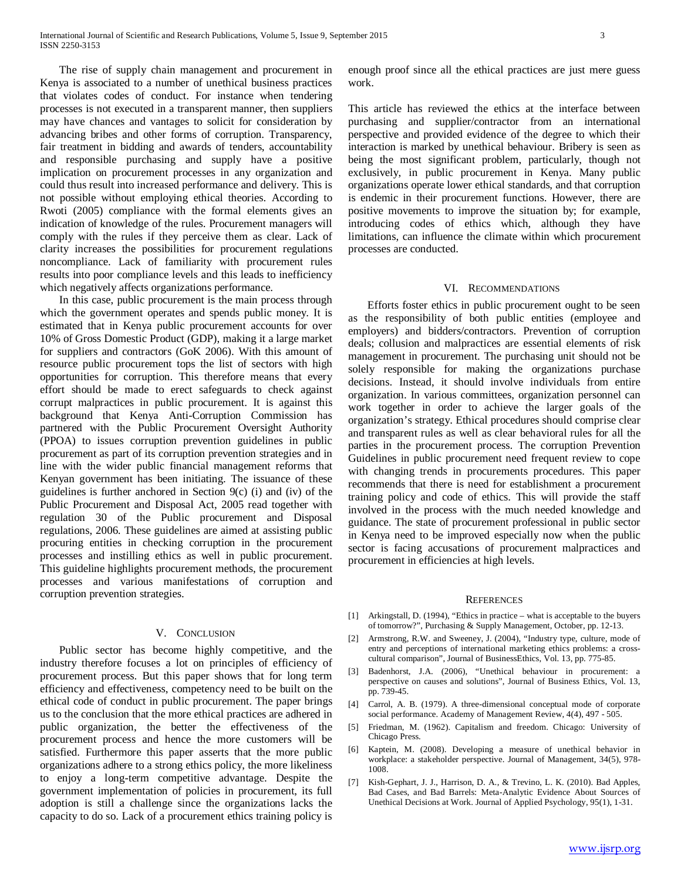The rise of supply chain management and procurement in Kenya is associated to a number of unethical business practices that violates codes of conduct. For instance when tendering processes is not executed in a transparent manner, then suppliers may have chances and vantages to solicit for consideration by advancing bribes and other forms of corruption. Transparency, fair treatment in bidding and awards of tenders, accountability and responsible purchasing and supply have a positive implication on procurement processes in any organization and could thus result into increased performance and delivery. This is not possible without employing ethical theories. According to Rwoti (2005) compliance with the formal elements gives an indication of knowledge of the rules. Procurement managers will comply with the rules if they perceive them as clear. Lack of clarity increases the possibilities for procurement regulations noncompliance. Lack of familiarity with procurement rules results into poor compliance levels and this leads to inefficiency which negatively affects organizations performance.

 In this case, public procurement is the main process through which the government operates and spends public money. It is estimated that in Kenya public procurement accounts for over 10% of Gross Domestic Product (GDP), making it a large market for suppliers and contractors (GoK 2006). With this amount of resource public procurement tops the list of sectors with high opportunities for corruption. This therefore means that every effort should be made to erect safeguards to check against corrupt malpractices in public procurement. It is against this background that Kenya Anti-Corruption Commission has partnered with the Public Procurement Oversight Authority (PPOA) to issues corruption prevention guidelines in public procurement as part of its corruption prevention strategies and in line with the wider public financial management reforms that Kenyan government has been initiating. The issuance of these guidelines is further anchored in Section 9(c) (i) and (iv) of the Public Procurement and Disposal Act, 2005 read together with regulation 30 of the Public procurement and Disposal regulations, 2006. These guidelines are aimed at assisting public procuring entities in checking corruption in the procurement processes and instilling ethics as well in public procurement. This guideline highlights procurement methods, the procurement processes and various manifestations of corruption and corruption prevention strategies.

# V. CONCLUSION

 Public sector has become highly competitive, and the industry therefore focuses a lot on principles of efficiency of procurement process. But this paper shows that for long term efficiency and effectiveness, competency need to be built on the ethical code of conduct in public procurement. The paper brings us to the conclusion that the more ethical practices are adhered in public organization, the better the effectiveness of the procurement process and hence the more customers will be satisfied. Furthermore this paper asserts that the more public organizations adhere to a strong ethics policy, the more likeliness to enjoy a long-term competitive advantage. Despite the government implementation of policies in procurement, its full adoption is still a challenge since the organizations lacks the capacity to do so. Lack of a procurement ethics training policy is enough proof since all the ethical practices are just mere guess work.

This article has reviewed the ethics at the interface between purchasing and supplier/contractor from an international perspective and provided evidence of the degree to which their interaction is marked by unethical behaviour. Bribery is seen as being the most significant problem, particularly, though not exclusively, in public procurement in Kenya. Many public organizations operate lower ethical standards, and that corruption is endemic in their procurement functions. However, there are positive movements to improve the situation by; for example, introducing codes of ethics which, although they have limitations, can influence the climate within which procurement processes are conducted.

## VI. RECOMMENDATIONS

 Efforts foster ethics in public procurement ought to be seen as the responsibility of both public entities (employee and employers) and bidders/contractors. Prevention of corruption deals; collusion and malpractices are essential elements of risk management in procurement. The purchasing unit should not be solely responsible for making the organizations purchase decisions. Instead, it should involve individuals from entire organization. In various committees, organization personnel can work together in order to achieve the larger goals of the organization's strategy. Ethical procedures should comprise clear and transparent rules as well as clear behavioral rules for all the parties in the procurement process. The corruption Prevention Guidelines in public procurement need frequent review to cope with changing trends in procurements procedures. This paper recommends that there is need for establishment a procurement training policy and code of ethics. This will provide the staff involved in the process with the much needed knowledge and guidance. The state of procurement professional in public sector in Kenya need to be improved especially now when the public sector is facing accusations of procurement malpractices and procurement in efficiencies at high levels.

#### **REFERENCES**

- [1] Arkingstall, D. (1994), "Ethics in practice what is acceptable to the buyers of tomorrow?", Purchasing & Supply Management, October, pp. 12-13.
- [2] Armstrong, R.W. and Sweeney, J. (2004), "Industry type, culture, mode of entry and perceptions of international marketing ethics problems: a crosscultural comparison", Journal of BusinessEthics, Vol. 13, pp. 775-85.
- [3] Badenhorst, J.A. (2006), "Unethical behaviour in procurement: a perspective on causes and solutions", Journal of Business Ethics, Vol. 13, pp. 739-45.
- [4] Carrol, A. B. (1979). A three-dimensional conceptual mode of corporate social performance. Academy of Management Review, 4(4), 497 - 505.
- [5] Friedman, M. (1962). Capitalism and freedom. Chicago: University of Chicago Press.
- [6] Kaptein, M. (2008). Developing a measure of unethical behavior in workplace: a stakeholder perspective. Journal of Management, 34(5), 978- 1008.
- [7] Kish-Gephart, J. J., Harrison, D. A., & Trevino, L. K. (2010). Bad Apples, Bad Cases, and Bad Barrels: Meta-Analytic Evidence About Sources of Unethical Decisions at Work. Journal of Applied Psychology, 95(1), 1-31.